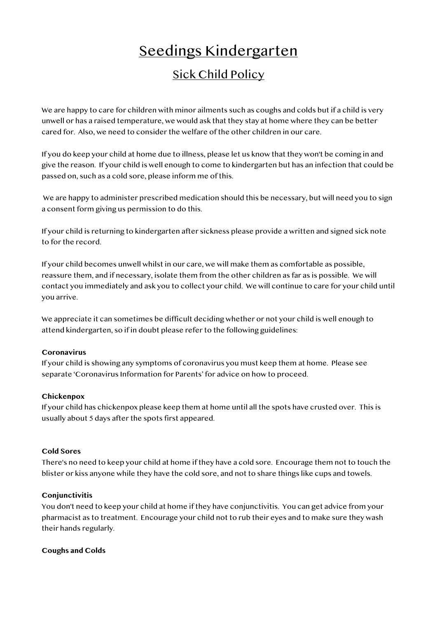# Seedings Kindergarten Sick Child Policy

We are happy to care for children with minor ailments such as coughs and colds but if a child is very unwell or has a raised temperature, we would ask that they stay at home where they can be better cared for. Also, we need to consider the welfare of the other children in our care.

If you do keep your child at home due to illness, please let us know that they won't be coming in and give the reason. If your child is well enough to come to kindergarten but has an infection that could be passed on, such as a cold sore, please inform me of this.

 We are happy to administer prescribed medication should this be necessary, but will need you to sign a consent form giving us permission to do this.

If your child is returning to kindergarten after sickness please provide a written and signed sick note to for the record.

If your child becomes unwell whilst in our care, we will make them as comfortable as possible, reassure them, and if necessary, isolate them from the other children as far as is possible. We will contact you immediately and ask you to collect your child. We will continue to care for your child until you arrive.

We appreciate it can sometimes be difficult deciding whether or not your child is well enough to attend kindergarten, so if in doubt please refer to the following guidelines:

#### **Coronavirus**

If your child is showing any symptoms of coronavirus you must keep them at home. Please see separate 'Coronavirus Information for Parents' for advice on how to proceed.

# **Chickenpox**

If your child has chickenpox please keep them at home until all the spots have crusted over. This is usually about 5 days after the spots first appeared.

#### **Cold Sores**

There's no need to keep your child at home if they have a cold sore. Encourage them not to touch the blister or kiss anyone while they have the cold sore, and not to share things like cups and towels.

# **Conjunctivitis**

You don't need to keep your child at home if they have conjunctivitis. You can get advice from your pharmacist as to treatment. Encourage your child not to rub their eyes and to make sure they wash their hands regularly.

#### **Coughs and Colds**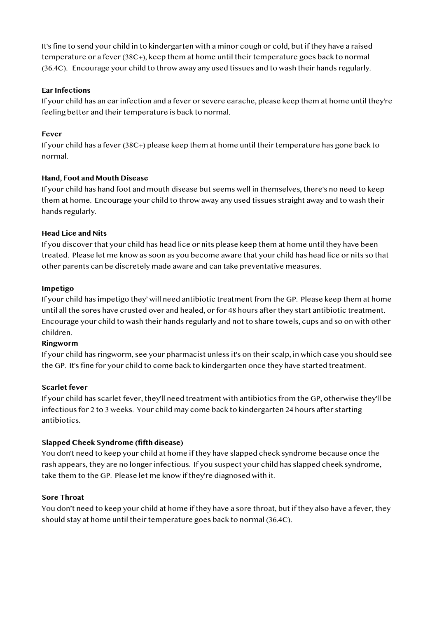It's fine to send your child in to kindergarten with a minor cough or cold, but if they have a raised temperature or a fever (38C+), keep them at home until their temperature goes back to normal (36.4C). Encourage your child to throw away any used tissues and to wash their hands regularly.

# **Ear Infections**

If your child has an ear infection and a fever or severe earache, please keep them at home until they're feeling better and their temperature is back to normal.

# **Fever**

If your child has a fever (38C+) please keep them at home until their temperature has gone back to normal.

# **Hand, Foot and Mouth Disease**

If your child has hand foot and mouth disease but seems well in themselves, there's no need to keep them at home. Encourage your child to throw away any used tissues straight away and to wash their hands regularly.

# **Head Lice and Nits**

If you discover that your child has head lice or nits please keep them at home until they have been treated. Please let me know as soon as you become aware that your child has head lice or nits so that other parents can be discretely made aware and can take preventative measures.

# **Impetigo**

If your child has impetigo they' will need antibiotic treatment from the GP. Please keep them at home until all the sores have crusted over and healed, or for 48 hours after they start antibiotic treatment. Encourage your child to wash their hands regularly and not to share towels, cups and so on with other children.

# **Ringworm**

If your child has ringworm, see your pharmacist unless it's on their scalp, in which case you should see the GP. It's fine for your child to come back to kindergarten once they have started treatment.

# **Scarlet fever**

If your child has scarlet fever, they'll need treatment with antibiotics from the GP, otherwise they'll be infectious for 2 to 3 weeks. Your child may come back to kindergarten 24 hours after starting antibiotics.

# **Slapped Cheek Syndrome (fifth disease)**

You don't need to keep your child at home if they have slapped check syndrome because once the rash appears, they are no longer infectious. If you suspect your child has slapped cheek syndrome, take them to the GP. Please let me know if they're diagnosed with it.

# **Sore Throat**

You don't need to keep your child at home if they have a sore throat, but if they also have a fever, they should stay at home until their temperature goes back to normal (36.4C).